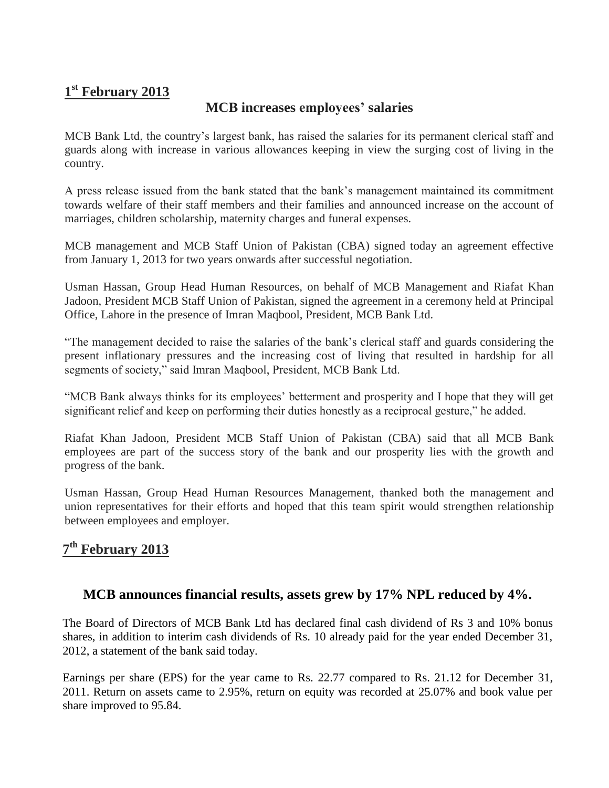# **1 st February 2013**

## **MCB increases employees' salaries**

MCB Bank Ltd, the country's largest bank, has raised the salaries for its permanent clerical staff and guards along with increase in various allowances keeping in view the surging cost of living in the country.

A press release issued from the bank stated that the bank's management maintained its commitment towards welfare of their staff members and their families and announced increase on the account of marriages, children scholarship, maternity charges and funeral expenses.

MCB management and MCB Staff Union of Pakistan (CBA) signed today an agreement effective from January 1, 2013 for two years onwards after successful negotiation.

Usman Hassan, Group Head Human Resources, on behalf of MCB Management and Riafat Khan Jadoon, President MCB Staff Union of Pakistan, signed the agreement in a ceremony held at Principal Office, Lahore in the presence of Imran Maqbool, President, MCB Bank Ltd.

"The management decided to raise the salaries of the bank's clerical staff and guards considering the present inflationary pressures and the increasing cost of living that resulted in hardship for all segments of society," said Imran Maqbool, President, MCB Bank Ltd.

"MCB Bank always thinks for its employees' betterment and prosperity and I hope that they will get significant relief and keep on performing their duties honestly as a reciprocal gesture," he added.

Riafat Khan Jadoon, President MCB Staff Union of Pakistan (CBA) said that all MCB Bank employees are part of the success story of the bank and our prosperity lies with the growth and progress of the bank.

Usman Hassan, Group Head Human Resources Management, thanked both the management and union representatives for their efforts and hoped that this team spirit would strengthen relationship between employees and employer.

# **7 th February 2013**

#### **MCB announces financial results, assets grew by 17% NPL reduced by 4%.**

The Board of Directors of MCB Bank Ltd has declared final cash dividend of Rs 3 and 10% bonus shares, in addition to interim cash dividends of Rs. 10 already paid for the year ended December 31, 2012, a statement of the bank said today.

Earnings per share (EPS) for the year came to Rs. 22.77 compared to Rs. 21.12 for December 31, 2011. Return on assets came to 2.95%, return on equity was recorded at 25.07% and book value per share improved to 95.84.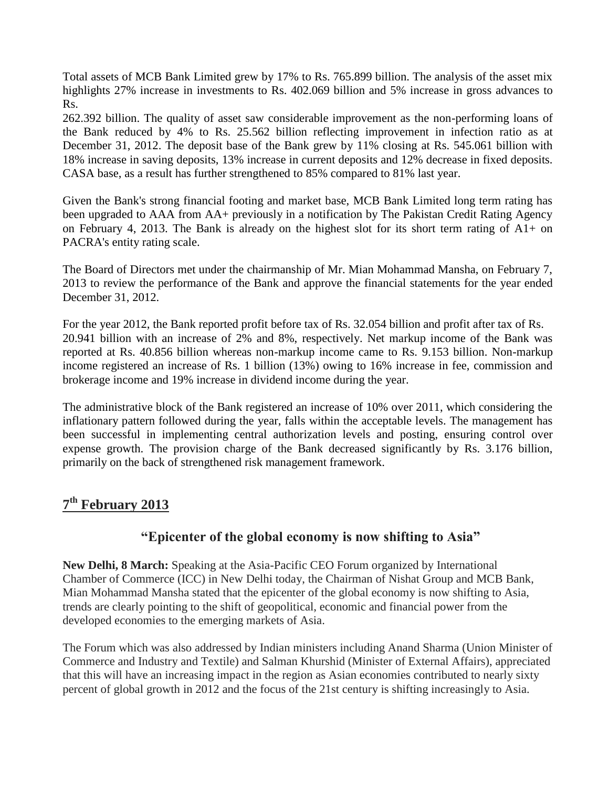Total assets of MCB Bank Limited grew by 17% to Rs. 765.899 billion. The analysis of the asset mix highlights 27% increase in investments to Rs. 402.069 billion and 5% increase in gross advances to Rs.

262.392 billion. The quality of asset saw considerable improvement as the non-performing loans of the Bank reduced by 4% to Rs. 25.562 billion reflecting improvement in infection ratio as at December 31, 2012. The deposit base of the Bank grew by 11% closing at Rs. 545.061 billion with 18% increase in saving deposits, 13% increase in current deposits and 12% decrease in fixed deposits. CASA base, as a result has further strengthened to 85% compared to 81% last year.

Given the Bank's strong financial footing and market base, MCB Bank Limited long term rating has been upgraded to AAA from AA+ previously in a notification by The Pakistan Credit Rating Agency on February 4, 2013. The Bank is already on the highest slot for its short term rating of  $A1+$  on PACRA's entity rating scale.

The Board of Directors met under the chairmanship of Mr. Mian Mohammad Mansha, on February 7, 2013 to review the performance of the Bank and approve the financial statements for the year ended December 31, 2012.

For the year 2012, the Bank reported profit before tax of Rs. 32.054 billion and profit after tax of Rs. 20.941 billion with an increase of 2% and 8%, respectively. Net markup income of the Bank was reported at Rs. 40.856 billion whereas non-markup income came to Rs. 9.153 billion. Non-markup income registered an increase of Rs. 1 billion (13%) owing to 16% increase in fee, commission and brokerage income and 19% increase in dividend income during the year.

The administrative block of the Bank registered an increase of 10% over 2011, which considering the inflationary pattern followed during the year, falls within the acceptable levels. The management has been successful in implementing central authorization levels and posting, ensuring control over expense growth. The provision charge of the Bank decreased significantly by Rs. 3.176 billion, primarily on the back of strengthened risk management framework.

# **7 th February 2013**

#### **"Epicenter of the global economy is now shifting to Asia"**

**New Delhi, 8 March:** Speaking at the Asia-Pacific CEO Forum organized by International Chamber of Commerce (ICC) in New Delhi today, the Chairman of Nishat Group and MCB Bank, Mian Mohammad Mansha stated that the epicenter of the global economy is now shifting to Asia, trends are clearly pointing to the shift of geopolitical, economic and financial power from the developed economies to the emerging markets of Asia.

The Forum which was also addressed by Indian ministers including Anand Sharma (Union Minister of Commerce and Industry and Textile) and Salman Khurshid (Minister of External Affairs), appreciated that this will have an increasing impact in the region as Asian economies contributed to nearly sixty percent of global growth in 2012 and the focus of the 21st century is shifting increasingly to Asia.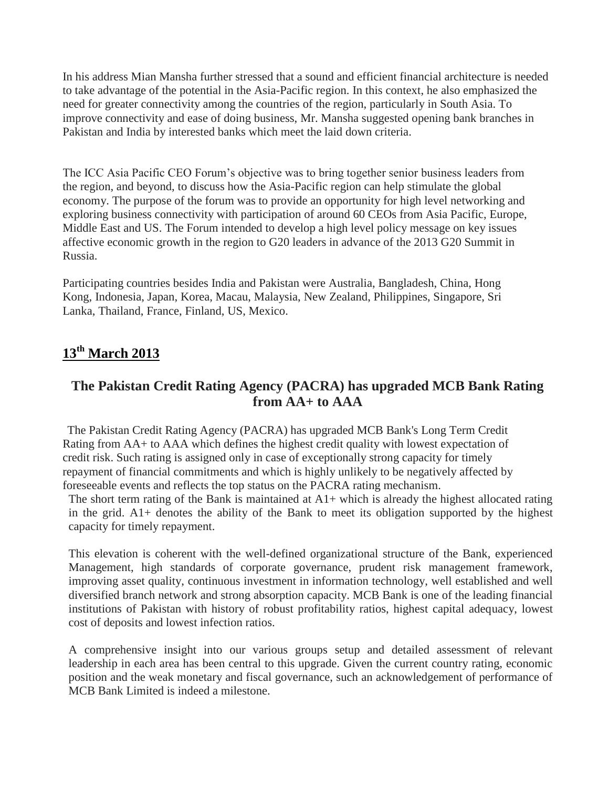In his address Mian Mansha further stressed that a sound and efficient financial architecture is needed to take advantage of the potential in the Asia-Pacific region. In this context, he also emphasized the need for greater connectivity among the countries of the region, particularly in South Asia. To improve connectivity and ease of doing business, Mr. Mansha suggested opening bank branches in Pakistan and India by interested banks which meet the laid down criteria.

The ICC Asia Pacific CEO Forum's objective was to bring together senior business leaders from the region, and beyond, to discuss how the Asia-Pacific region can help stimulate the global economy. The purpose of the forum was to provide an opportunity for high level networking and exploring business connectivity with participation of around 60 CEOs from Asia Pacific, Europe, Middle East and US. The Forum intended to develop a high level policy message on key issues affective economic growth in the region to G20 leaders in advance of the 2013 G20 Summit in Russia.

Participating countries besides India and Pakistan were Australia, Bangladesh, China, Hong Kong, Indonesia, Japan, Korea, Macau, Malaysia, New Zealand, Philippines, Singapore, Sri Lanka, Thailand, France, Finland, US, Mexico.

## **13th March 2013**

## **The Pakistan Credit Rating Agency (PACRA) has upgraded MCB Bank Rating from AA+ to AAA**

The Pakistan Credit Rating Agency (PACRA) has upgraded MCB Bank's Long Term Credit Rating from AA+ to AAA which defines the highest credit quality with lowest expectation of credit risk. Such rating is assigned only in case of exceptionally strong capacity for timely repayment of financial commitments and which is highly unlikely to be negatively affected by foreseeable events and reflects the top status on the PACRA rating mechanism.

The short term rating of the Bank is maintained at A1+ which is already the highest allocated rating in the grid. A1+ denotes the ability of the Bank to meet its obligation supported by the highest capacity for timely repayment.

This elevation is coherent with the well-defined organizational structure of the Bank, experienced Management, high standards of corporate governance, prudent risk management framework, improving asset quality, continuous investment in information technology, well established and well diversified branch network and strong absorption capacity. MCB Bank is one of the leading financial institutions of Pakistan with history of robust profitability ratios, highest capital adequacy, lowest cost of deposits and lowest infection ratios.

A comprehensive insight into our various groups setup and detailed assessment of relevant leadership in each area has been central to this upgrade. Given the current country rating, economic position and the weak monetary and fiscal governance, such an acknowledgement of performance of MCB Bank Limited is indeed a milestone.